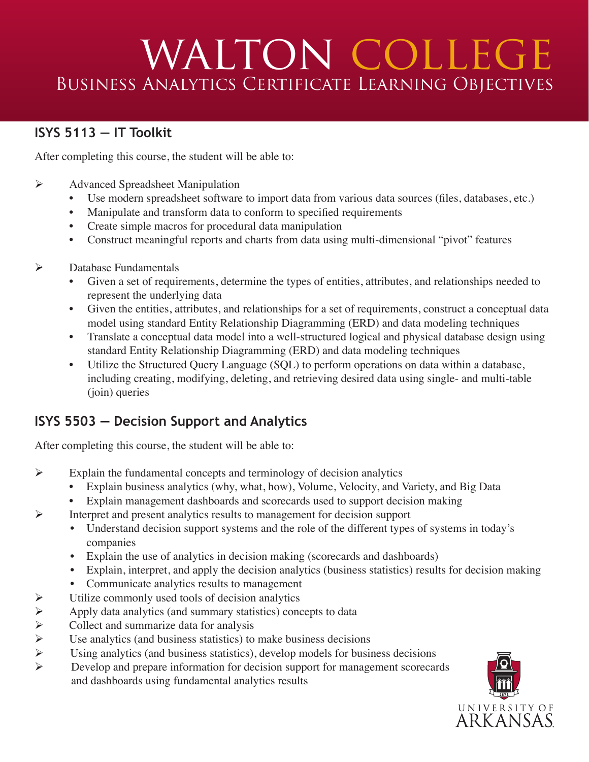# WALTON COLLEGE Business Analytics Certificate Learning Objectives

#### **ISYS 5113 — IT Toolkit**

After completing this course, the student will be able to:

- Ø Advanced Spreadsheet Manipulation
	- Use modern spreadsheet software to import data from various data sources (files, databases, etc.)
	- Manipulate and transform data to conform to specified requirements
	- Create simple macros for procedural data manipulation
	- Construct meaningful reports and charts from data using multi-dimensional "pivot" features
- $\triangleright$  Database Fundamentals
	- Given a set of requirements, determine the types of entities, attributes, and relationships needed to represent the underlying data
	- Given the entities, attributes, and relationships for a set of requirements, construct a conceptual data model using standard Entity Relationship Diagramming (ERD) and data modeling techniques
	- Translate a conceptual data model into a well-structured logical and physical database design using standard Entity Relationship Diagramming (ERD) and data modeling techniques
	- Utilize the Structured Query Language (SQL) to perform operations on data within a database, including creating, modifying, deleting, and retrieving desired data using single- and multi-table (join) queries

### **ISYS 5503 — Decision Support and Analytics**

After completing this course, the student will be able to:

- $\triangleright$  Explain the fundamental concepts and terminology of decision analytics
	- Explain business analytics (why, what, how), Volume, Velocity, and Variety, and Big Data
	- Explain management dashboards and scorecards used to support decision making
- Ø Interpret and present analytics results to management for decision support
	- Understand decision support systems and the role of the different types of systems in today's companies
	- Explain the use of analytics in decision making (scorecards and dashboards)
	- Explain, interpret, and apply the decision analytics (business statistics) results for decision making
	- Communicate analytics results to management
- $\triangleright$  Utilize commonly used tools of decision analytics<br> $\triangleright$  Apply data analytics (and summary statistics) conc
- Ø Apply data analytics (and summary statistics) concepts to data
- 
- $\triangleright$  Collect and summarize data for analysis<br> $\triangleright$  Use analytics (and business statistics) to<br> $\triangleright$  Using analytics (and business statistics). Use analytics (and business statistics) to make business decisions
- Using analytics (and business statistics), develop models for business decisions
- Ø Develop and prepare information for decision support for management scorecards and dashboards using fundamental analytics results

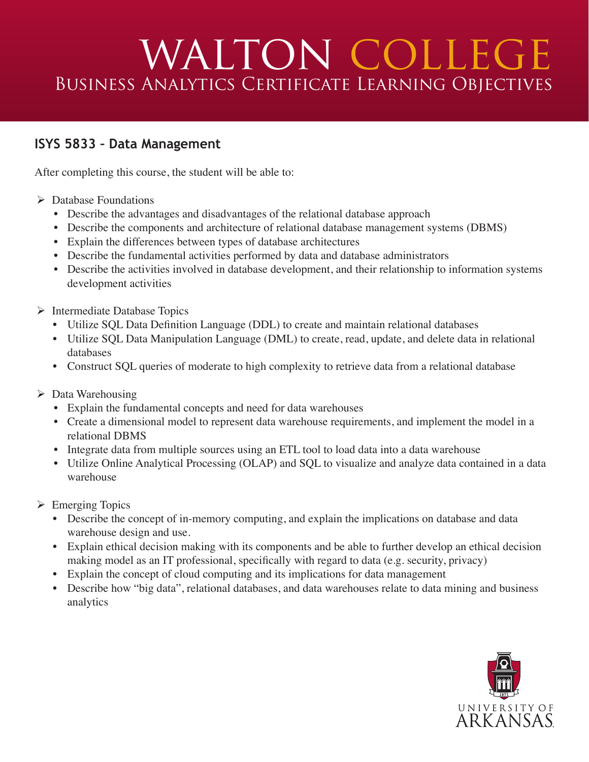# WALTON COLLEGE Business Analytics Certificate Learning Objectives

#### **ISYS 5833 – Data Management**

After completing this course, the student will be able to:

- $\triangleright$  Database Foundations
	- Describe the advantages and disadvantages of the relational database approach
	- Describe the components and architecture of relational database management systems (DBMS)
	- Explain the differences between types of database architectures
	- Describe the fundamental activities performed by data and database administrators
	- Describe the activities involved in database development, and their relationship to information systems development activities
- $\triangleright$  Intermediate Database Topics
	- Utilize SQL Data Definition Language (DDL) to create and maintain relational databases
	- Utilize SQL Data Manipulation Language (DML) to create, read, update, and delete data in relational databases
	- Construct SQL queries of moderate to high complexity to retrieve data from a relational database
- $\triangleright$  Data Warehousing
	- Explain the fundamental concepts and need for data warehouses
	- Create a dimensional model to represent data warehouse requirements, and implement the model in a relational DBMS
	- Integrate data from multiple sources using an ETL tool to load data into a data warehouse
	- Utilize Online Analytical Processing (OLAP) and SQL to visualize and analyze data contained in a data warehouse
- $\triangleright$  Emerging Topics
	- Describe the concept of in-memory computing, and explain the implications on database and data warehouse design and use.
	- Explain ethical decision making with its components and be able to further develop an ethical decision making model as an IT professional, specifically with regard to data (e.g. security, privacy)
	- Explain the concept of cloud computing and its implications for data management
	- Describe how "big data", relational databases, and data warehouses relate to data mining and business analytics